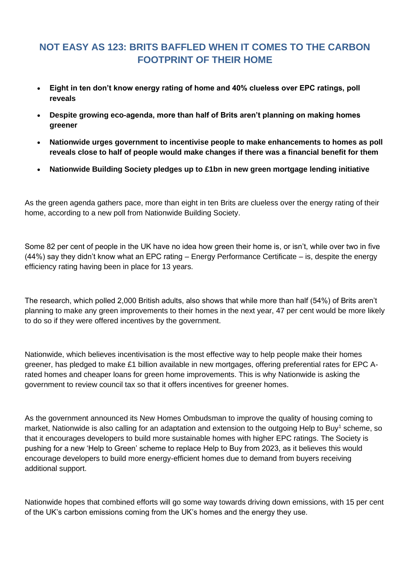## **NOT EASY AS 123: BRITS BAFFLED WHEN IT COMES TO THE CARBON FOOTPRINT OF THEIR HOME**

- **Eight in ten don't know energy rating of home and 40% clueless over EPC ratings, poll reveals**
- **Despite growing eco-agenda, more than half of Brits aren't planning on making homes greener**
- **Nationwide urges government to incentivise people to make enhancements to homes as poll reveals close to half of people would make changes if there was a financial benefit for them**
- **Nationwide Building Society pledges up to £1bn in new green mortgage lending initiative**

As the green agenda gathers pace, more than eight in ten Brits are clueless over the energy rating of their home, according to a new poll from Nationwide Building Society.

Some 82 per cent of people in the UK have no idea how green their home is, or isn't, while over two in five (44%) say they didn't know what an EPC rating – Energy Performance Certificate – is, despite the energy efficiency rating having been in place for 13 years.

The research, which polled 2,000 British adults, also shows that while more than half (54%) of Brits aren't planning to make any green improvements to their homes in the next year, 47 per cent would be more likely to do so if they were offered incentives by the government.

Nationwide, which believes incentivisation is the most effective way to help people make their homes greener, has pledged to make £1 billion available in new mortgages, offering preferential rates for EPC Arated homes and cheaper loans for green home improvements. This is why Nationwide is asking the government to review council tax so that it offers incentives for greener homes.

As the government announced its New Homes Ombudsman to improve the quality of housing coming to market, Nationwide is also calling for an adaptation and extension to the outgoing Help to Buy<sup>1</sup> scheme, so that it encourages developers to build more sustainable homes with higher EPC ratings. The Society is pushing for a new 'Help to Green' scheme to replace Help to Buy from 2023, as it believes this would encourage developers to build more energy-efficient homes due to demand from buyers receiving additional support.

Nationwide hopes that combined efforts will go some way towards driving down emissions, with 15 per cent of the UK's carbon emissions coming from the UK's homes and the energy they use.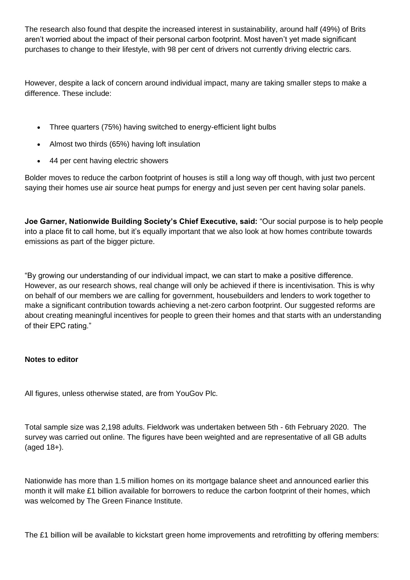The research also found that despite the increased interest in sustainability, around half (49%) of Brits aren't worried about the impact of their personal carbon footprint. Most haven't yet made significant purchases to change to their lifestyle, with 98 per cent of drivers not currently driving electric cars.

However, despite a lack of concern around individual impact, many are taking smaller steps to make a difference. These include:

- Three quarters (75%) having switched to energy-efficient light bulbs
- Almost two thirds (65%) having loft insulation
- 44 per cent having electric showers

Bolder moves to reduce the carbon footprint of houses is still a long way off though, with just two percent saying their homes use air source heat pumps for energy and just seven per cent having solar panels.

**Joe Garner, Nationwide Building Society's Chief Executive, said:** "Our social purpose is to help people into a place fit to call home, but it's equally important that we also look at how homes contribute towards emissions as part of the bigger picture.

"By growing our understanding of our individual impact, we can start to make a positive difference. However, as our research shows, real change will only be achieved if there is incentivisation. This is why on behalf of our members we are calling for government, housebuilders and lenders to work together to make a significant contribution towards achieving a net-zero carbon footprint. Our suggested reforms are about creating meaningful incentives for people to green their homes and that starts with an understanding of their EPC rating."

## **Notes to editor**

All figures, unless otherwise stated, are from YouGov Plc.

Total sample size was 2,198 adults. Fieldwork was undertaken between 5th - 6th February 2020. The survey was carried out online. The figures have been weighted and are representative of all GB adults (aged 18+).

Nationwide has more than 1.5 million homes on its mortgage balance sheet and announced earlier this month it will make £1 billion available for borrowers to reduce the carbon footprint of their homes, which was welcomed by The Green Finance Institute.

The £1 billion will be available to kickstart green home improvements and retrofitting by offering members: